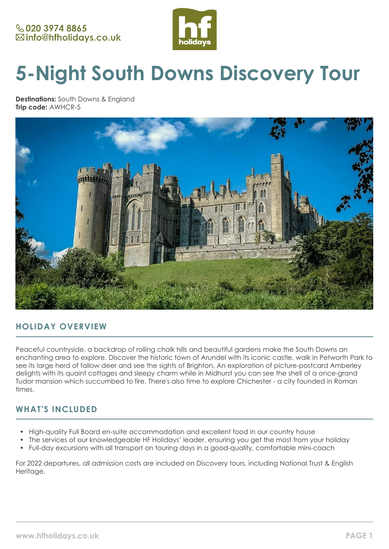

# **5-Night South Downs Discovery Tour**

**Destinations:** South Downs & England **Trip code:** AWHCR-5



## **HOLIDAY OVERVIEW**

Peaceful countryside, a backdrop of rolling chalk hills and beautiful gardens make the South Downs an enchanting area to explore. Discover the historic town of Arundel with its iconic castle, walk in Petworth Park to see its large herd of fallow deer and see the sights of Brighton. An exploration of picture-postcard Amberley delights with its quaint cottages and sleepy charm while in Midhurst you can see the shell of a once-grand Tudor mansion which succumbed to fire. There's also time to explore Chichester - a city founded in Roman times.

## **WHAT'S INCLUDED**

- High-quality Full Board en-suite accommodation and excellent food in our country house
- The services of our knowledgeable HF Holidays' leader, ensuring you get the most from your holiday
- Full-day excursions with all transport on touring days in a good-quality, comfortable mini-coach

For 2022 departures, all admission costs are included on Discovery tours, including National Trust & English Heritage.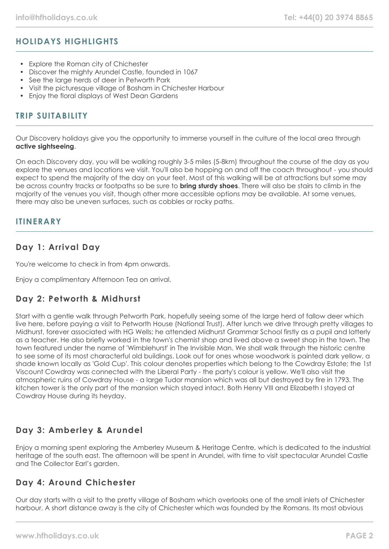# **HOLIDAYS HIGHLIGHTS**

- Explore the Roman city of Chichester
- Discover the mighty Arundel Castle, founded in 1067
- See the large herds of deer in Petworth Park
- Visit the picturesque village of Bosham in Chichester Harbour
- Enjoy the floral displays of West Dean Gardens

## **TRIP SUITABILITY**

Our Discovery holidays give you the opportunity to immerse yourself in the culture of the local area through **active sightseeing**.

On each Discovery day, you will be walking roughly 3-5 miles (5-8km) throughout the course of the day as you explore the venues and locations we visit. You'll also be hopping on and off the coach throughout - you should expect to spend the majority of the day on your feet. Most of this walking will be at attractions but some may be across country tracks or footpaths so be sure to **bring sturdy shoes**. There will also be stairs to climb in the majority of the venues you visit, though other more accessible options may be available. At some venues, there may also be uneven surfaces, such as cobbles or rocky paths.

## **ITINERARY**

## **Day 1: Arrival Day**

You're welcome to check in from 4pm onwards.

Enjoy a complimentary Afternoon Tea on arrival.

## **Day 2: Petworth & Midhurst**

Start with a gentle walk through Petworth Park, hopefully seeing some of the large herd of fallow deer which live here, before paying a visit to Petworth House (National Trust). After lunch we drive through pretty villages to Midhurst, forever associated with HG Wells; he attended Midhurst Grammar School firstly as a pupil and latterly as a teacher. He also briefly worked in the town's chemist shop and lived above a sweet shop in the town. The town featured under the name of 'Wimblehurst' in The Invisible Man. We shall walk through the historic centre to see some of its most characterful old buildings. Look out for ones whose woodwork is painted dark yellow, a shade known locally as 'Gold Cup'. This colour denotes properties which belong to the Cowdray Estate; the 1st Viscount Cowdray was connected with the Liberal Party - the party's colour is yellow. We'll also visit the atmospheric ruins of Cowdray House - a large Tudor mansion which was all but destroyed by fire in 1793. The kitchen tower is the only part of the mansion which stayed intact. Both Henry VIII and Elizabeth I stayed at Cowdray House during its heyday.

## **Day 3: Amberley & Arundel**

Enjoy a morning spent exploring the Amberley Museum & Heritage Centre, which is dedicated to the industrial heritage of the south east. The afternoon will be spent in Arundel, with time to visit spectacular Arundel Castle and The Collector Earl's garden.

## **Day 4: Around Chichester**

Our day starts with a visit to the pretty village of Bosham which overlooks one of the small inlets of Chichester harbour. A short distance away is the city of Chichester which was founded by the Romans. Its most obvious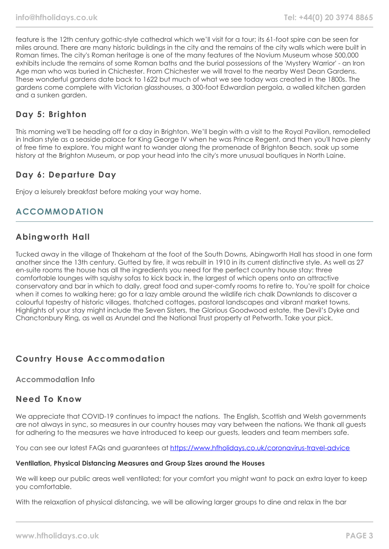feature is the 12th century gothic-style cathedral which we'll visit for a tour; its 61-foot spire can be seen for miles around. There are many historic buildings in the city and the remains of the city walls which were built in Roman times. The city's Roman heritage is one of the many features of the Novium Museum whose 500,000 exhibits include the remains of some Roman baths and the burial possessions of the 'Mystery Warrior' - an Iron Age man who was buried in Chichester. From Chichester we will travel to the nearby West Dean Gardens. These wonderful gardens date back to 1622 but much of what we see today was created in the 1800s. The gardens come complete with Victorian glasshouses, a 300-foot Edwardian pergola, a walled kitchen garden and a sunken garden.

## **Day 5: Brighton**

This morning we'll be heading off for a day in Brighton. We'll begin with a visit to the Royal Pavilion, remodelled in Indian style as a seaside palace for King George IV when he was Prince Regent, and then you'll have plenty of free time to explore. You might want to wander along the promenade of Brighton Beach, soak up some history at the Brighton Museum, or pop your head into the city's more unusual boutiques in North Laine.

## **Day 6: Departure Day**

Enjoy a leisurely breakfast before making your way home.

## **ACCOMMODATION**

# **Abingworth Hall**

Tucked away in the village of Thakeham at the foot of the South Downs, Abingworth Hall has stood in one form another since the 13th century. Gutted by fire, it was rebuilt in 1910 in its current distinctive style. As well as 27 en-suite rooms the house has all the ingredients you need for the perfect country house stay: three comfortable lounges with squishy sofas to kick back in, the largest of which opens onto an attractive conservatory and bar in which to dally, great food and super-comfy rooms to retire to. You're spoilt for choice when it comes to walking here; go for a lazy amble around the wildlife rich chalk Downlands to discover a colourful tapestry of historic villages, thatched cottages, pastoral landscapes and vibrant market towns. Highlights of your stay might include the Seven Sisters, the Glorious Goodwood estate, the Devil's Dyke and Chanctonbury Ring, as well as Arundel and the National Trust property at Petworth. Take your pick.

## **Country House Accommodation**

#### **Accommodation Info**

## **Need To Know**

We appreciate that COVID-19 continues to impact the nations. The English, Scottish and Welsh governments are not always in sync, so measures in our country houses may vary between the nations. We thank all quests for adhering to the measures we have introduced to keep our guests, leaders and team members safe.

You can see our latest FAQs and guarantees at <https://www.hfholidays.co.uk/coronavirus-travel-advice>

#### **Ventilation, Physical Distancing Measures and Group Sizes around the Houses**

We will keep our public areas well ventilated; for your comfort you might want to pack an extra layer to keep you comfortable.

With the relaxation of physical distancing, we will be allowing larger groups to dine and relax in the bar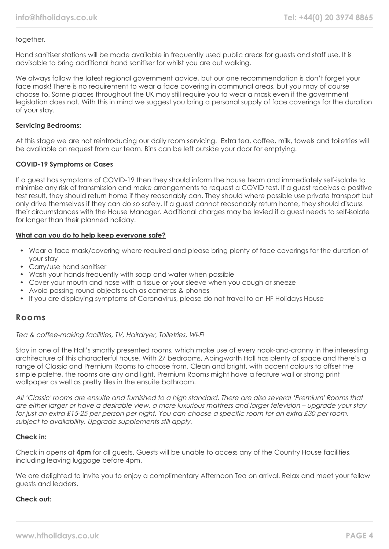#### together.

Hand sanitiser stations will be made available in frequently used public areas for guests and staff use. It is advisable to bring additional hand sanitiser for whilst you are out walking.

We always follow the latest regional government advice, but our one recommendation is don't forget your face mask! There is no requirement to wear a face covering in communal areas, but you may of course choose to. Some places throughout the UK may still require you to wear a mask even if the government legislation does not. With this in mind we suggest you bring a personal supply of face coverings for the duration of your stay.

#### **Servicing Bedrooms:**

At this stage we are not reintroducing our daily room servicing. Extra tea, coffee, milk, towels and toiletries will be available on request from our team. Bins can be left outside your door for emptying.

#### **COVID-19 Symptoms or Cases**

If a guest has symptoms of COVID-19 then they should inform the house team and immediately self-isolate to minimise any risk of transmission and make arrangements to request a COVID test. If a guest receives a positive test result, they should return home if they reasonably can. They should where possible use private transport but only drive themselves if they can do so safely. If a guest cannot reasonably return home, they should discuss their circumstances with the House Manager. Additional charges may be levied if a guest needs to self-isolate for longer than their planned holiday.

#### **What can you do to help keep everyone safe?**

- Wear a face mask/covering where required and please bring plenty of face coverings for the duration of your stay
- Carry/use hand sanitiser
- Wash your hands frequently with soap and water when possible
- Cover your mouth and nose with a tissue or your sleeve when you cough or sneeze
- Avoid passing round objects such as cameras & phones
- If you are displaying symptoms of Coronavirus, please do not travel to an HF Holidays House

#### **Rooms**

#### Tea & coffee-making facilities, TV, Hairdryer, Toiletries, Wi-Fi

Stay in one of the Hall's smartly presented rooms, which make use of every nook-and-cranny in the interesting architecture of this characterful house. With 27 bedrooms, Abingworth Hall has plenty of space and there's a range of Classic and Premium Rooms to choose from. Clean and bright, with accent colours to offset the simple palette, the rooms are airy and light. Premium Rooms might have a feature wall or strong print wallpaper as well as pretty tiles in the ensuite bathroom.

All 'Classic' rooms are ensuite and furnished to a high standard. There are also several 'Premium' Rooms that are either larger or have a desirable view, a more luxurious mattress and larger television – upgrade your stay for just an extra £15-25 per person per night. You can choose a specific room for an extra £30 per room, subject to availability. Uparade supplements still apply.

#### **Check in:**

Check in opens at **4pm** for all guests. Guests will be unable to access any of the Country House facilities, including leaving luggage before 4pm.

We are delighted to invite you to enjoy a complimentary Afternoon Tea on arrival. Relax and meet your fellow guests and leaders.

#### **Check out:**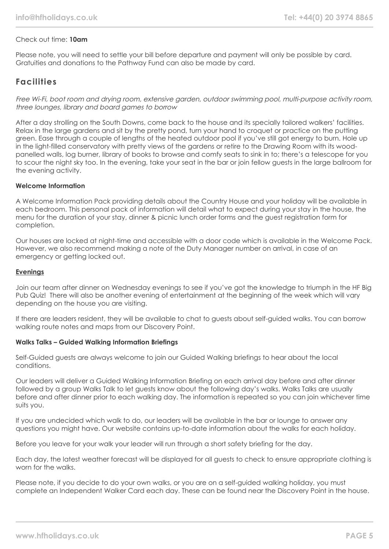#### Check out time: **10am**

Please note, you will need to settle your bill before departure and payment will only be possible by card. Gratuities and donations to the Pathway Fund can also be made by card.

## **Facilities**

Free Wi-Fi, boot room and drying room, extensive garden, outdoor swimming pool, multi-purpose activity room, three lounges, library and board games to borrow

After a day strolling on the South Downs, come back to the house and its specially tailored walkers' facilities. Relax in the large gardens and sit by the pretty pond, turn your hand to croquet or practice on the putting green. Ease through a couple of lengths of the heated outdoor pool if you've still got energy to burn. Hole up in the light-filled conservatory with pretty views of the gardens or retire to the Drawing Room with its woodpanelled walls, log burner, library of books to browse and comfy seats to sink in to; there's a telescope for you to scour the night sky too. In the evening, take your seat in the bar or join fellow guests in the large ballroom for the evening activity.

#### **Welcome Information**

A Welcome Information Pack providing details about the Country House and your holiday will be available in each bedroom. This personal pack of information will detail what to expect during your stay in the house, the menu for the duration of your stay, dinner & picnic lunch order forms and the guest registration form for completion.

Our houses are locked at night-time and accessible with a door code which is available in the Welcome Pack. However, we also recommend making a note of the Duty Manager number on arrival, in case of an emergency or getting locked out.

#### **Evenings**

Join our team after dinner on Wednesday evenings to see if you've got the knowledge to triumph in the HF Big Pub Quiz! There will also be another evening of entertainment at the beginning of the week which will vary depending on the house you are visiting.

If there are leaders resident, they will be available to chat to guests about self-guided walks. You can borrow walking route notes and maps from our Discovery Point.

#### **Walks Talks – Guided Walking Information Briefings**

Self-Guided guests are always welcome to join our Guided Walking briefings to hear about the local conditions.

Our leaders will deliver a Guided Walking Information Briefing on each arrival day before and after dinner followed by a group Walks Talk to let guests know about the following day's walks. Walks Talks are usually before and after dinner prior to each walking day. The information is repeated so you can join whichever time suits you.

If you are undecided which walk to do, our leaders will be available in the bar or lounge to answer any questions you might have. Our website contains up-to-date information about the walks for each holiday.

Before you leave for your walk your leader will run through a short safety briefing for the day.

Each day, the latest weather forecast will be displayed for all guests to check to ensure appropriate clothing is worn for the walks.

Please note, if you decide to do your own walks, or you are on a self-guided walking holiday, you must complete an Independent Walker Card each day. These can be found near the Discovery Point in the house.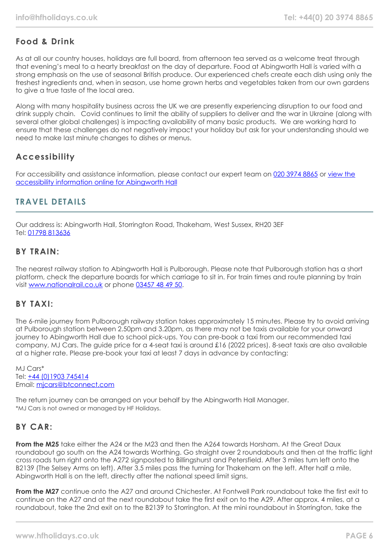# **Food & Drink**

As at all our country houses, holidays are full board, from afternoon tea served as a welcome treat through that evening's meal to a hearty breakfast on the day of departure. Food at Abingworth Hall is varied with a strong emphasis on the use of seasonal British produce. Our experienced chefs create each dish using only the freshest ingredients and, when in season, use home grown herbs and vegetables taken from our own gardens to give a true taste of the local area.

Along with many hospitality business across the UK we are presently experiencing disruption to our food and drink supply chain. Covid continues to limit the ability of suppliers to deliver and the war in Ukraine (along with several other global challenges) is impacting availability of many basic products. We are working hard to ensure that these challenges do not negatively impact your holiday but ask for your understanding should we need to make last minute changes to dishes or menus.

# **Accessibility**

For accessibility and assistance information, please contact our expert team on [020 3974 8865](tel:02039748865) or [view the](https://www.hfholidays.co.uk/images/Documents/accessibility_statements/Abingworth_-_accessibility_information_-_update_Feb_2021.pdf) [accessibility information online for Abingworth Hall](https://www.hfholidays.co.uk/images/Documents/accessibility_statements/Abingworth_-_accessibility_information_-_update_Feb_2021.pdf)

## **TRAVEL DETAILS**

Our address is: Abingworth Hall, Storrington Road, Thakeham, West Sussex, RH20 3EF Tel: [01798 813636](tel:01798813636)

## **BY TRAIN:**

The nearest railway station to Abingworth Hall is Pulborough. Please note that Pulborough station has a short platform, check the departure boards for which carriage to sit in. For train times and route planning by train visit [www.nationalrail.co.uk](http://www.nationalrail.co.uk/) or phone [03457 48 49 50.](tel:01903745414)

## **BY TAXI:**

The 6-mile journey from Pulborough railway station takes approximately 15 minutes. Please try to avoid arriving at Pulborough station between 2.50pm and 3.20pm, as there may not be taxis available for your onward journey to Abingworth Hall due to school pick-ups. You can pre-book a taxi from our recommended taxi company, MJ Cars. The guide price for a 4-seat taxi is around £16 (2022 prices). 8-seat taxis are also available at a higher rate. Please pre-book your taxi at least 7 days in advance by contacting:

MJ Cars\* Tel: [+44 \(0\)1903 745414](tel:01903745414) Email: [mjcars@btconnect.com](mailto:mjcars@btconnect.com)

The return journey can be arranged on your behalf by the Abingworth Hall Manager. \*MJ Cars is not owned or managed by HF Holidays.

## **BY CAR:**

**From the M25** take either the A24 or the M23 and then the A264 towards Horsham. At the Great Daux roundabout go south on the A24 towards Worthing. Go straight over 2 roundabouts and then at the traffic light cross roads turn right onto the A272 signposted to Billingshurst and Petersfield. After 3 miles turn left onto the B2139 (The Selsey Arms on left). After 3.5 miles pass the turning for Thakeham on the left. After half a mile, Abingworth Hall is on the left, directly after the national speed limit signs.

**From the M27** continue onto the A27 and around Chichester. At Fontwell Park roundabout take the first exit to continue on the A27 and at the next roundabout take the first exit on to the A29. After approx. 4 miles, at a roundabout, take the 2nd exit on to the B2139 to Storrington. At the mini roundabout in Storrington, take the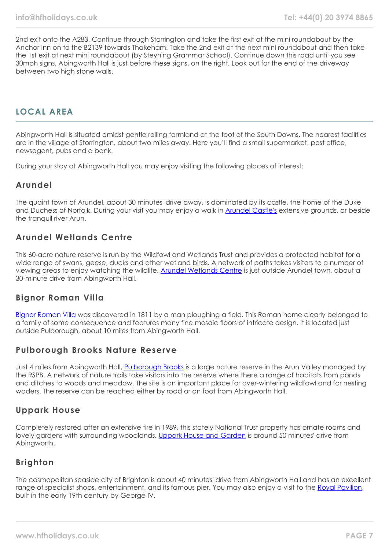2nd exit onto the A283. Continue through Storrington and take the first exit at the mini roundabout by the Anchor Inn on to the B2139 towards Thakeham. Take the 2nd exit at the next mini roundabout and then take the 1st exit at next mini roundabout (by Steyning Grammar School). Continue down this road until you see 30mph signs. Abingworth Hall is just before these signs, on the right. Look out for the end of the driveway between two high stone walls.

# **LOCAL AREA**

Abingworth Hall is situated amidst gentle rolling farmland at the foot of the South Downs. The nearest facilities are in the village of Storrington, about two miles away. Here you'll find a small supermarket, post office, newsagent, pubs and a bank.

During your stay at Abingworth Hall you may enjoy visiting the following places of interest:

#### **Arundel**

The quaint town of Arundel, about 30 minutes' drive away, is dominated by its castle, the home of the Duke and Duchess of Norfolk. During your visit you may enjoy a walk in **[Arundel Castle's](https://www.arundelcastle.org/)** extensive grounds, or beside the tranquil river Arun.

## **Arundel Wetlands Centre**

This 60-acre nature reserve is run by the Wildfowl and Wetlands Trust and provides a protected habitat for a wide range of swans, geese, ducks and other wetland birds. A network of paths takes visitors to a number of viewing areas to enjoy watching the wildlife. [Arundel Wetlands Centre](https://www.wwt.org.uk/wetland-centres/arundel) is just outside Arundel town, about a 30-minute drive from Abingworth Hall.

## **Bignor Roman Villa**

[Bignor Roman Villa](https://www.bignorromanvilla.co.uk/) was discovered in 1811 by a man ploughing a field. This Roman home clearly belonged to a family of some consequence and features many fine mosaic floors of intricate design. It is located just outside Pulborough, about 10 miles from Abingworth Hall.

## **Pulborough Brooks Nature Reserve**

Just 4 miles from Abingworth Hall, [Pulborough Brooks](https://www.rspb.org.uk/reserves-and-events/reserves-a-z/pulborough-brooks/) is a large nature reserve in the Arun Valley managed by the RSPB. A network of nature trails take visitors into the reserve where there a range of habitats from ponds and ditches to woods and meadow. The site is an important place for over-wintering wildfowl and for nesting waders. The reserve can be reached either by road or on foot from Abingworth Hall.

#### **Uppark House**

Completely restored after an extensive fire in 1989, this stately National Trust property has ornate rooms and lovely gardens with surrounding woodlands. [Uppark House and Garden](https://www.nationaltrust.org.uk/uppark-house-and-garden) is around 50 minutes' drive from Abingworth.

## **Brighton**

The cosmopolitan seaside city of Brighton is about 40 minutes' drive from Abingworth Hall and has an excellent range of specialist shops, entertainment, and its famous pier. You may also enjoy a visit to the [Royal Pavilion](https://brightonmuseums.org.uk/royalpavilion/), built in the early 19th century by George IV.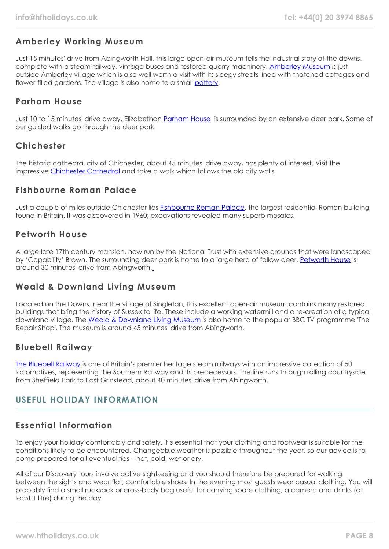# **Amberley Working Museum**

Just 15 minutes' drive from Abingworth Hall, this large open-air museum tells the industrial story of the downs, complete with a steam railway, vintage buses and restored quarry machinery. [Amberley Museum](https://www.amberleymuseum.co.uk/) is just outside Amberley village which is also well worth a visit with its sleepy streets lined with thatched cottages and flower-filled gardens. The village is also home to a small [pottery.](http://www.amberleypottery.co.uk/)

## **Parham House**

Just 10 to 15 minutes' drive away, Elizabethan [Parham House](https://www.parhaminsussex.co.uk/) is surrounded by an extensive deer park. Some of our guided walks go through the deer park.

## **Chichester**

The historic cathedral city of Chichester, about 45 minutes' drive away, has plenty of interest. Visit the impressive [Chichester Cathedral](https://www.chichestercathedral.org.uk/) and take a walk which follows the old city walls.

## **Fishbourne Roman Palace**

Just a couple of miles outside Chichester lies [Fishbourne Roman Palace,](https://www.visitchichester.org/activity/fishbourne-roman-palace-and-gardens) the largest residential Roman building found in Britain. It was discovered in 1960; excavations revealed many superb mosaics.

## **Petworth House**

A large late 17th century mansion, now run by the National Trust with extensive grounds that were landscaped by 'Capability' Brown. The surrounding deer park is home to a large herd of fallow deer. [Petworth House](https://www.nationaltrust.org.uk/petworth-house-and-park) is around 30 minutes' drive from Abingworth.

## **Weald & Downland Living Museum**

Located on the Downs, near the village of Singleton, this excellent open-air museum contains many restored buildings that bring the history of Sussex to life. These include a working watermill and a re-creation of a typical downland village. The [Weald & Downland Living Museum](https://www.wealddown.co.uk/) is also home to the popular BBC TV programme 'The Repair Shop'. The museum is around 45 minutes' drive from Abingworth.

## **Bluebell Railway**

[The Bluebell Railway](https://www.bluebell-railway.com/brps/) is one of Britain's premier heritage steam railways with an impressive collection of 50 locomotives, representing the Southern Railway and its predecessors. The line runs through rolling countryside from Sheffield Park to East Grinstead, about 40 minutes' drive from Abingworth.

## **USEFUL HOLIDAY INFORMATION**

## **Essential Information**

To enjoy your holiday comfortably and safely, it's essential that your clothing and footwear is suitable for the conditions likely to be encountered. Changeable weather is possible throughout the year, so our advice is to come prepared for all eventualities – hot, cold, wet or dry.

All of our Discovery tours involve active sightseeing and you should therefore be prepared for walking between the sights and wear flat, comfortable shoes. In the evening most guests wear casual clothing. You will probably find a small rucksack or cross-body bag useful for carrying spare clothing, a camera and drinks (at least 1 litre) during the day.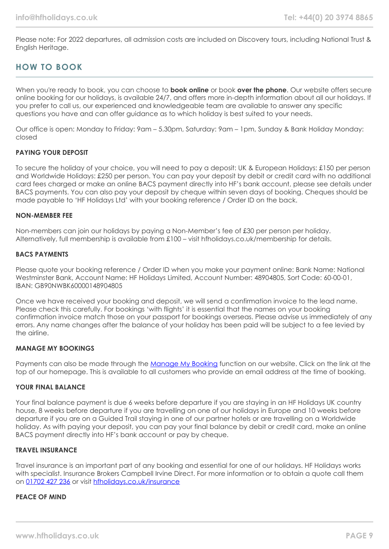Please note: For 2022 departures, all admission costs are included on Discovery tours, including National Trust & English Heritage.

# **HOW TO BOOK**

When you're ready to book, you can choose to **book online** or book **over the phone**. Our website offers secure online booking for our holidays, is available 24/7, and offers more in-depth information about all our holidays. If you prefer to call us, our experienced and knowledgeable team are available to answer any specific questions you have and can offer guidance as to which holiday is best suited to your needs.

Our office is open: Monday to Friday: 9am – 5.30pm, Saturday: 9am – 1pm, Sunday & Bank Holiday Monday: closed

#### **PAYING YOUR DEPOSIT**

To secure the holiday of your choice, you will need to pay a deposit: UK & European Holidays: £150 per person and Worldwide Holidays: £250 per person. You can pay your deposit by debit or credit card with no additional card fees charged or make an online BACS payment directly into HF's bank account, please see details under BACS payments. You can also pay your deposit by cheque within seven days of booking. Cheques should be made payable to 'HF Holidays Ltd' with your booking reference / Order ID on the back.

#### **NON-MEMBER FEE**

Non-members can join our holidays by paying a Non-Member's fee of £30 per person per holiday. Alternatively, full membership is available from £100 – visit hfholidays.co.uk/membership for details.

#### **BACS PAYMENTS**

Please quote your booking reference / Order ID when you make your payment online: Bank Name: National Westminster Bank, Account Name: HF Holidays Limited, Account Number: 48904805, Sort Code: 60-00-01, IBAN: GB90NWBK60000148904805

Once we have received your booking and deposit, we will send a confirmation invoice to the lead name. Please check this carefully. For bookings 'with flights' it is essential that the names on your booking confirmation invoice match those on your passport for bookings overseas. Please advise us immediately of any errors. Any name changes after the balance of your holiday has been paid will be subject to a fee levied by the airline.

#### **MANAGE MY BOOKINGS**

Payments can also be made through the [Manage My Booking](https://www.hfholidays.co.uk/about-us/bookings/my-booking) function on our website. Click on the link at the top of our homepage. This is available to all customers who provide an email address at the time of booking.

#### **YOUR FINAL BALANCE**

Your final balance payment is due 6 weeks before departure if you are staying in an HF Holidays UK country house, 8 weeks before departure if you are travelling on one of our holidays in Europe and 10 weeks before departure if you are on a Guided Trail staying in one of our partner hotels or are travelling on a Worldwide holiday. As with paying your deposit, you can pay your final balance by debit or credit card, make an online BACS payment directly into HF's bank account or pay by cheque.

#### **TRAVEL INSURANCE**

Travel insurance is an important part of any booking and essential for one of our holidays. HF Holidays works with specialist. Insurance Brokers Campbell Irvine Direct. For more information or to obtain a quote call them on [01702 427 236](tel:01702427236) or visit [hfholidays.co.uk/insurance](https://www.hfholidays.co.uk/about-us/bookings/insurance)

#### **PEACE OF MIND**